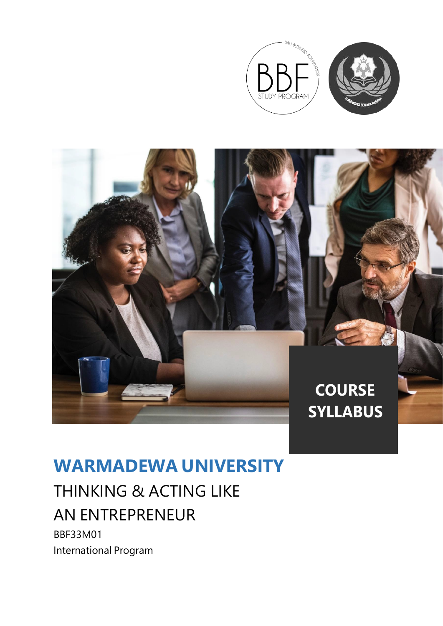



## **WARMADEWA UNIVERSITY**

# THINKING & ACTING LIKE AN ENTREPRENEUR

BBF33M01 International Program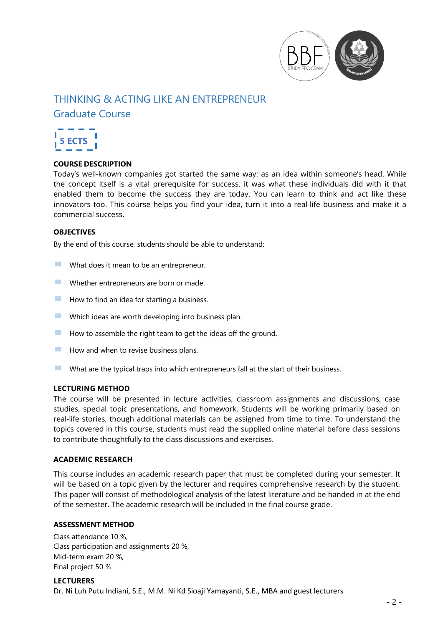

### THINKING & ACTING LIKE AN ENTREPRENEUR

Graduate Course



#### **COURSE DESCRIPTION**

Today's well-known companies got started the same way: as an idea within someone's head. While the concept itself is a vital prerequisite for success, it was what these individuals did with it that enabled them to become the success they are today. You can learn to think and act like these innovators too. This course helps you find your idea, turn it into a real-life business and make it a commercial success.

#### **OBJECTIVES**

By the end of this course, students should be able to understand:

- $\blacksquare$  What does it mean to be an entrepreneur.
- **EXECUTE:** Whether entrepreneurs are born or made.
- $\blacksquare$  How to find an idea for starting a business.
- $\blacksquare$  Which ideas are worth developing into business plan.
- $\blacksquare$  How to assemble the right team to get the ideas off the ground.
- $\blacksquare$  How and when to revise business plans.
- **EXECUTE:** What are the typical traps into which entrepreneurs fall at the start of their business.

#### **LECTURING METHOD**

The course will be presented in lecture activities, classroom assignments and discussions, case studies, special topic presentations, and homework. Students will be working primarily based on real-life stories, though additional materials can be assigned from time to time. To understand the topics covered in this course, students must read the supplied online material before class sessions to contribute thoughtfully to the class discussions and exercises.

#### **ACADEMIC RESEARCH**

This course includes an academic research paper that must be completed during your semester. It will be based on a topic given by the lecturer and requires comprehensive research by the student. This paper will consist of methodological analysis of the latest literature and be handed in at the end of the semester. The academic research will be included in the final course grade.

#### **ASSESSMENT METHOD**

Class attendance 10 %, Class participation and assignments 20 %, Mid-term exam 20 %, Final project 50 %

#### **LECTURERS** Dr. Ni Luh Putu Indiani, S.E., M.M. Ni Kd Sioaji Yamayanti, S.E., MBA and guest lecturers